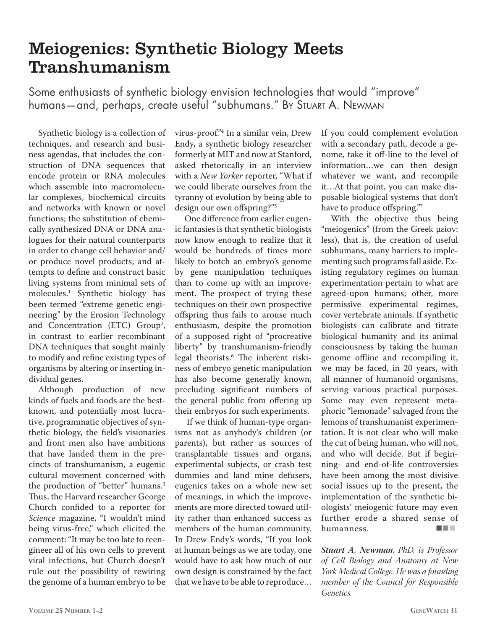## Meiogenics: Synthetic Biology Meets Transhumanism

Some enthusiasts of synthetic biology envision technologies that would "improve" humans—and, perhaps, create useful "subhumans." By Stuart A. Newman

Synthetic biology is a collection of techniques, and research and business agendas, that includes the construction of DNA sequences that encode protein or RNA molecules which assemble into macromolecular complexes, biochemical circuits and networks with known or novel functions; the substitution of chemically synthesized DNA or DNA analogues for their natural counterparts in order to change cell behavior and/ or produce novel products; and attempts to define and construct basic living systems from minimal sets of molecules.1 Synthetic biology has been termed "extreme genetic engineering" by the Erosion Technology and Concentration (ETC) Group<sup>2</sup>, in contrast to earlier recombinant DNA techniques that sought mainly to modify and refine existing types of organisms by altering or inserting individual genes.

Although production of new kinds of fuels and foods are the bestknown, and potentially most lucrative, programmatic objectives of synthetic biology, the field's visionaries and front men also have ambitions that have landed them in the precincts of transhumanism, a eugenic cultural movement concerned with the production of "better" humans.<sup>3</sup> Thus, the Harvard researcher George Church confided to a reporter for *Science* magazine, "I wouldn't mind being virus-free," which elicited the comment: "It may be too late to reengineer all of his own cells to prevent viral infections, but Church doesn't rule out the possibility of rewiring the genome of a human embryo to be

virus-proof."4 In a similar vein, Drew Endy, a synthetic biology researcher formerly at MIT and now at Stanford, asked rhetorically in an interview with a *New Yorker* reporter, "What if we could liberate ourselves from the tyranny of evolution by being able to design our own offspring?"5

One difference from earlier eugenic fantasies is that synthetic biologists now know enough to realize that it would be hundreds of times more likely to botch an embryo's genome by gene manipulation techniques than to come up with an improvement. The prospect of trying these techniques on their own prospective offspring thus fails to arouse much enthusiasm, despite the promotion of a supposed right of "procreative liberty" by transhumanism-friendly legal theorists.6 The inherent riskiness of embryo genetic manipulation has also become generally known, precluding significant numbers of the general public from offering up their embryos for such experiments.

 If we think of human-type organisms not as anybody's children (or parents), but rather as sources of transplantable tissues and organs, experimental subjects, or crash test dummies and land mine defusers, eugenics takes on a whole new set of meanings, in which the improvements are more directed toward utility rather than enhanced success as members of the human community. In Drew Endy's words, "If you look at human beings as we are today, one would have to ask how much of our own design is constrained by the fact that we have to be able to reproduce…

If you could complement evolution with a secondary path, decode a genome, take it off-line to the level of information…we can then design whatever we want, and recompile it…At that point, you can make disposable biological systems that don't have to produce offspring."7

With the objective thus being "meiogenics" (from the Greek μείον: less), that is, the creation of useful subhumans, many barriers to implementing such programs fall aside. Existing regulatory regimes on human experimentation pertain to what are agreed-upon humans; other, more permissive experimental regimes, cover vertebrate animals. If synthetic biologists can calibrate and titrate biological humanity and its animal consciousness by taking the human genome offline and recompiling it, we may be faced, in 20 years, with all manner of humanoid organisms, serving various practical purposes. Some may even represent metaphoric "lemonade" salvaged from the lemons of transhumanist experimentation. It is not clear who will make the cut of being human, who will not, and who will decide. But if beginning- and end-of-life controversies have been among the most divisive social issues up to the present, the implementation of the synthetic biologists' meiogenic future may even further erode a shared sense of humanness.

*Stuart A. Newman, PhD, is Professor of Cell Biology and Anatomy at New York Medical College. He was a founding member of the Council for Responsible Genetics.*